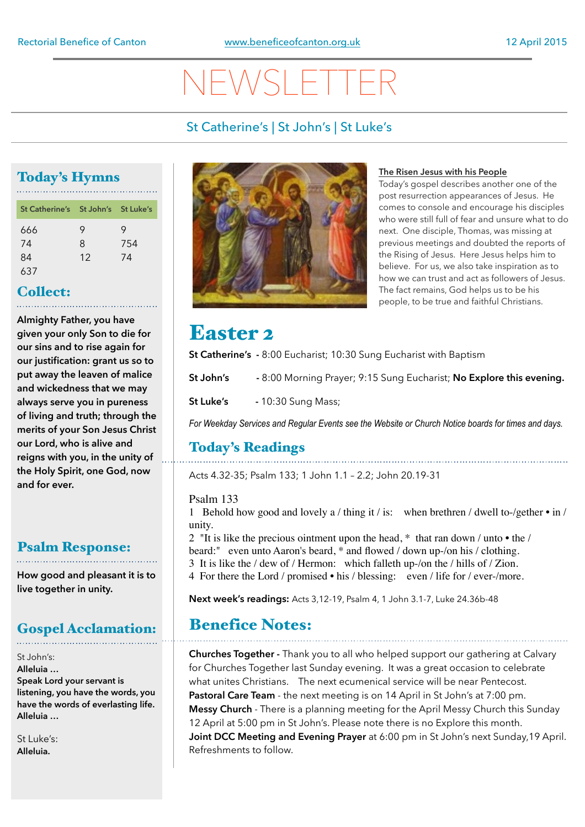# **VEWSLE**

## St Catherine's | St John's | St Luke's

## Today's Hymns

| St Catherine's St John's St Luke's |    |     |
|------------------------------------|----|-----|
| 666                                | 9  | 9   |
| 74                                 | 8  | 754 |
| 84                                 | 12 | 74  |
| 637                                |    |     |

## Collect:

**Almighty Father, you have given your only Son to die for our sins and to rise again for our justification: grant us so to put away the leaven of malice and wickedness that we may always serve you in pureness of living and truth; through the merits of your Son Jesus Christ our Lord, who is alive and reigns with you, in the unity of the Holy Spirit, one God, now and for ever.**

### Psalm Response:

**How good and pleasant it is to live together in unity.**

## Gospel Acclamation:

#### St John's: **Alleluia … Speak Lord your servant is listening, you have the words, you have the words of everlasting life. Alleluia …**

 $St$  Luke's: **Alleluia.** 



### **The Risen Jesus with his People**

Today's gospel describes another one of the post resurrection appearances of Jesus. He comes to console and encourage his disciples who were still full of fear and unsure what to do next. One disciple, Thomas, was missing at previous meetings and doubted the reports of the Rising of Jesus. Here Jesus helps him to believe. For us, we also take inspiration as to how we can trust and act as followers of Jesus. The fact remains, God helps us to be his people, to be true and faithful Christians.

## Easter 2

**St Catherine's -** 8:00 Eucharist; 10:30 Sung Eucharist with Baptism

**St John's -** 8:00 Morning Prayer; 9:15 Sung Eucharist; **No Explore this evening.** 

**St Luke's** - 10:30 Sung Mass;

*For Weekday Services and Regular Events see the Website or Church Notice boards for times and days.*

## Today's Readings

Acts 4.32-35; Psalm 133; 1 John 1.1 – 2.2; John 20.19-31

### Psalm 133

1 Behold how good and lovely a / thing it / is: when brethren / dwell to-/gether • in / unity.

2 "It is like the precious ointment upon the head, \* that ran down / unto • the / beard:" even unto Aaron's beard, \* and flowed / down up-/on his / clothing. 3 It is like the / dew of / Hermon: which falleth up-/on the / hills of / Zion.

4 For there the Lord / promised • his / blessing: even / life for / ever-/more.

**Next week's readings:** Acts 3,12-19, Psalm 4, 1 John 3.1-7, Luke 24.36b-48

## Benefice Notes:

**Churches Together -** Thank you to all who helped support our gathering at Calvary for Churches Together last Sunday evening. It was a great occasion to celebrate what unites Christians. The next ecumenical service will be near Pentecost. **Pastoral Care Team** - the next meeting is on 14 April in St John's at 7:00 pm. **Messy Church** - There is a planning meeting for the April Messy Church this Sunday 12 April at 5:00 pm in St John's. Please note there is no Explore this month. **Joint DCC Meeting and Evening Prayer** at 6:00 pm in St John's next Sunday,19 April. Refreshments to follow.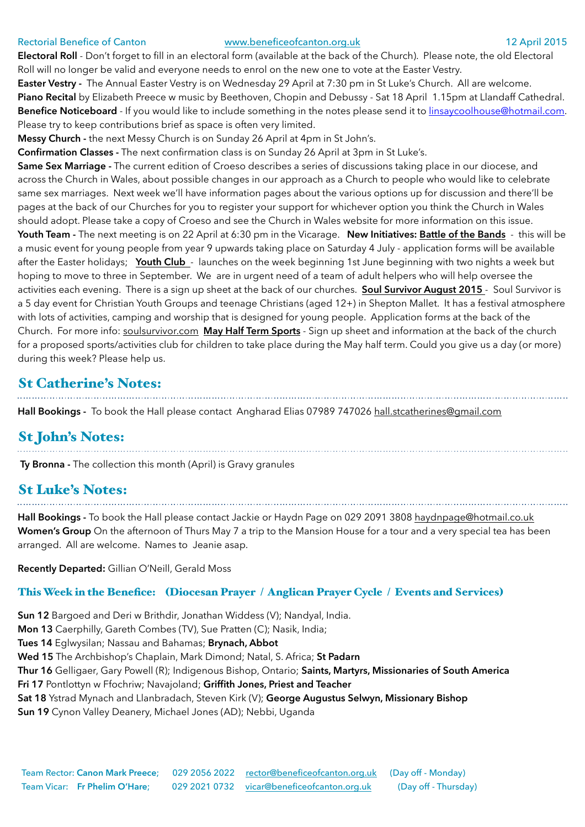#### Rectorial Benefice of Canton [www.beneficeofcanton.org.uk](http://www.beneficeofcanton.org.uk) 12 April 2015

**Electoral Roll** - Don't forget to fill in an electoral form (available at the back of the Church). Please note, the old Electoral Roll will no longer be valid and everyone needs to enrol on the new one to vote at the Easter Vestry.

**Easter Vestry -** The Annual Easter Vestry is on Wednesday 29 April at 7:30 pm in St Luke's Church. All are welcome. Piano Recital by Elizabeth Preece w music by Beethoven, Chopin and Debussy - Sat 18 April 1.15pm at Llandaff Cathedral. **Benefice Noticeboard** - If you would like to include something in the notes please send it to [linsaycoolhouse@hotmail.com](mailto:linsaycoolhouse@hotmail.com). Please try to keep contributions brief as space is often very limited.

**Messy Church -** the next Messy Church is on Sunday 26 April at 4pm in St John's.

**Confirmation Classes -** The next confirmation class is on Sunday 26 April at 3pm in St Luke's.

**Same Sex Marriage -** The current edition of Croeso describes a series of discussions taking place in our diocese, and across the Church in Wales, about possible changes in our approach as a Church to people who would like to celebrate same sex marriages. Next week we'll have information pages about the various options up for discussion and there'll be pages at the back of our Churches for you to register your support for whichever option you think the Church in Wales should adopt. Please take a copy of Croeso and see the Church in Wales website for more information on this issue. **Youth Team -** The next meeting is on 22 April at 6:30 pm in the Vicarage. **New Initiatives: Battle of the Bands** - this will be a music event for young people from year 9 upwards taking place on Saturday 4 July - application forms will be available after the Easter holidays; **Youth Club** - launches on the week beginning 1st June beginning with two nights a week but hoping to move to three in September. We are in urgent need of a team of adult helpers who will help oversee the activities each evening. There is a sign up sheet at the back of our churches. **Soul Survivor August 2015** - Soul Survivor is a 5 day event for Christian Youth Groups and teenage Christians (aged 12+) in Shepton Mallet. It has a festival atmosphere with lots of activities, camping and worship that is designed for young people. Application forms at the back of the Church. For more info: [soulsurvivor.com](http://soulsurvivor.com) **May Half Term Sports** - Sign up sheet and information at the back of the church for a proposed sports/activities club for children to take place during the May half term. Could you give us a day (or more) during this week? Please help us.

## St Catherine's Notes:

**Hall Bookings -** To book the Hall please contact Angharad Elias 07989 747026 [hall.stcatherines@gmail.com](mailto:hall.stcatherines@gmail.com)

## St John's Notes:

**Ty Bronna -** The collection this month (April) is Gravy granules

## St Luke's Notes:

**Hall Bookings -** To book the Hall please contact Jackie or Haydn Page on 029 2091 3808 [haydnpage@hotmail.co.uk](mailto:haydnpage@hotmail.co.uk) **Women's Group** On the afternoon of Thurs May 7 a trip to the Mansion House for a tour and a very special tea has been arranged. All are welcome. Names to Jeanie asap.

**Recently Departed:** Gillian O'Neill, Gerald Moss

### This Week in the Benefice: (Diocesan Prayer / Anglican Prayer Cycle / Events and Services)

**Sun 12** Bargoed and Deri w Brithdir, Jonathan Widdess (V); Nandyal, India. **Mon 13** Caerphilly, Gareth Combes (TV), Sue Pratten (C); Nasik, India; **Tues 14** Eglwysilan; Nassau and Bahamas; **Brynach, Abbot Wed 15** The Archbishop's Chaplain, Mark Dimond; Natal, S. Africa; **St Padarn Thur 16** Gelligaer, Gary Powell (R); Indigenous Bishop, Ontario; **Saints, Martyrs, Missionaries of South America Fri 17** Pontlottyn w Ffochriw; Navajoland; **Griffith Jones, Priest and Teacher Sat 18** Ystrad Mynach and Llanbradach, Steven Kirk (V); **George Augustus Selwyn, Missionary Bishop Sun 19** Cynon Valley Deanery, Michael Jones (AD); Nebbi, Uganda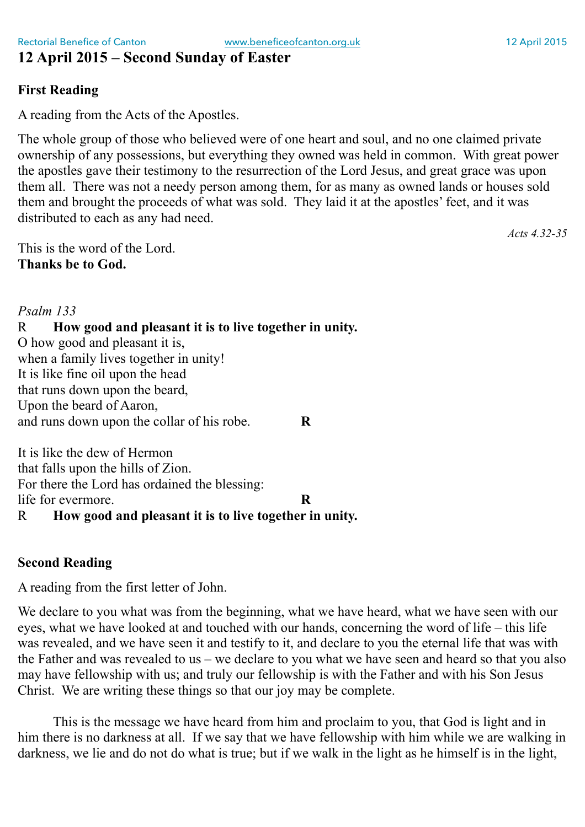## **12 April 2015 – Second Sunday of Easter**

## **First Reading**

A reading from the Acts of the Apostles.

The whole group of those who believed were of one heart and soul, and no one claimed private ownership of any possessions, but everything they owned was held in common. With great power the apostles gave their testimony to the resurrection of the Lord Jesus, and great grace was upon them all. There was not a needy person among them, for as many as owned lands or houses sold them and brought the proceeds of what was sold. They laid it at the apostles' feet, and it was distributed to each as any had need.

This is the word of the Lord. **Thanks be to God.**

### *Psalm 133*

### R **How good and pleasant it is to live together in unity.** O how good and pleasant it is,

when a family lives together in unity! It is like fine oil upon the head that runs down upon the beard, Upon the beard of Aaron, and runs down upon the collar of his robe. **R**

It is like the dew of Hermon that falls upon the hills of Zion. For there the Lord has ordained the blessing: life for evermore. **R** R **How good and pleasant it is to live together in unity.**

### **Second Reading**

A reading from the first letter of John.

We declare to you what was from the beginning, what we have heard, what we have seen with our eyes, what we have looked at and touched with our hands, concerning the word of life – this life was revealed, and we have seen it and testify to it, and declare to you the eternal life that was with the Father and was revealed to us – we declare to you what we have seen and heard so that you also may have fellowship with us; and truly our fellowship is with the Father and with his Son Jesus Christ. We are writing these things so that our joy may be complete.

This is the message we have heard from him and proclaim to you, that God is light and in him there is no darkness at all. If we say that we have fellowship with him while we are walking in darkness, we lie and do not do what is true; but if we walk in the light as he himself is in the light,

*Acts 4.32-35*